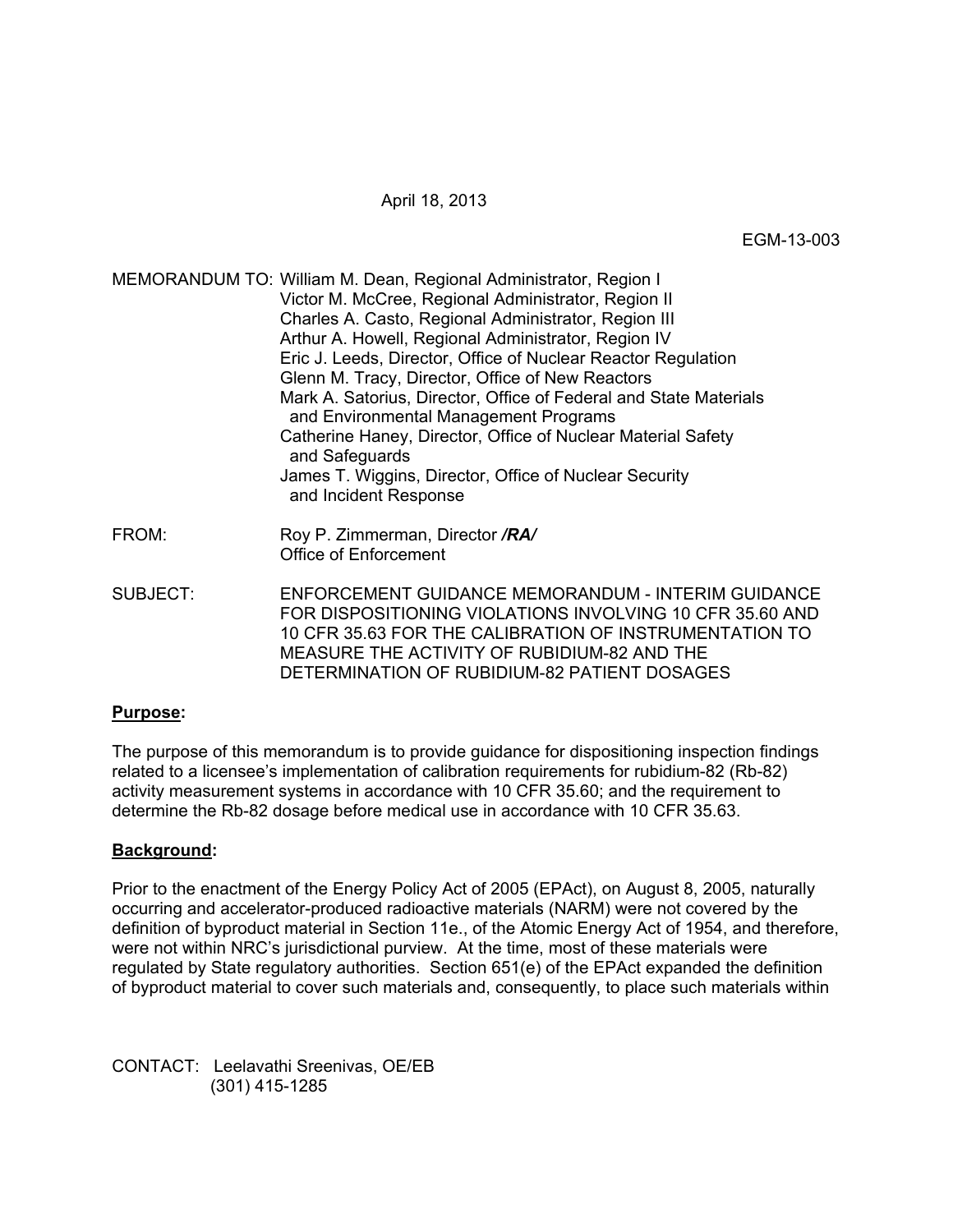# April 18, 2013

EGM-13-003

|  | MEMORANDUM TO: William M. Dean, Regional Administrator, Region I                                           |
|--|------------------------------------------------------------------------------------------------------------|
|  | Victor M. McCree, Regional Administrator, Region II                                                        |
|  | Charles A. Casto, Regional Administrator, Region III                                                       |
|  | Arthur A. Howell, Regional Administrator, Region IV                                                        |
|  | Eric J. Leeds, Director, Office of Nuclear Reactor Regulation                                              |
|  | Glenn M. Tracy, Director, Office of New Reactors                                                           |
|  | Mark A. Satorius, Director, Office of Federal and State Materials<br>and Environmental Management Programs |
|  | Catherine Haney, Director, Office of Nuclear Material Safety<br>and Safeguards                             |
|  | James T. Wiggins, Director, Office of Nuclear Security<br>and Incident Response                            |
|  |                                                                                                            |

- FROM: Roy P. Zimmerman, Director */RA/*  Office of Enforcement
- SUBJECT: ENFORCEMENT GUIDANCE MEMORANDUM INTERIM GUIDANCE FOR DISPOSITIONING VIOLATIONS INVOLVING 10 CFR 35.60 AND 10 CFR 35.63 FOR THE CALIBRATION OF INSTRUMENTATION TO MEASURE THE ACTIVITY OF RUBIDIUM-82 AND THE DETERMINATION OF RUBIDIUM-82 PATIENT DOSAGES

## **Purpose:**

The purpose of this memorandum is to provide guidance for dispositioning inspection findings related to a licensee's implementation of calibration requirements for rubidium-82 (Rb-82) activity measurement systems in accordance with 10 CFR 35.60; and the requirement to determine the Rb-82 dosage before medical use in accordance with 10 CFR 35.63.

# **Background:**

Prior to the enactment of the Energy Policy Act of 2005 (EPAct), on August 8, 2005, naturally occurring and accelerator-produced radioactive materials (NARM) were not covered by the definition of byproduct material in Section 11e., of the Atomic Energy Act of 1954, and therefore, were not within NRC's jurisdictional purview. At the time, most of these materials were regulated by State regulatory authorities. Section 651(e) of the EPAct expanded the definition of byproduct material to cover such materials and, consequently, to place such materials within

CONTACT: Leelavathi Sreenivas, OE/EB (301) 415-1285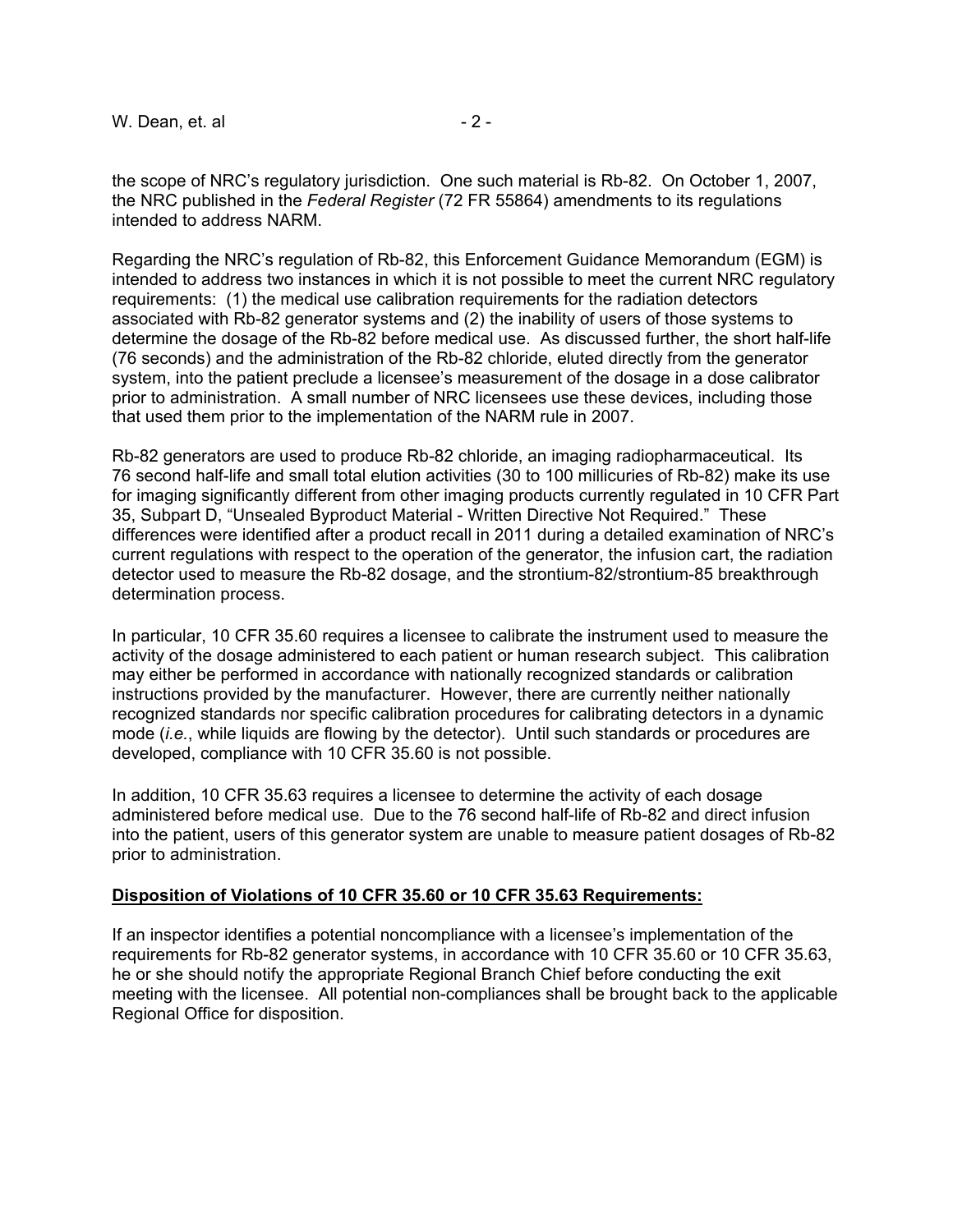the scope of NRC's regulatory jurisdiction. One such material is Rb-82. On October 1, 2007, the NRC published in the *Federal Register* (72 FR 55864) amendments to its regulations intended to address NARM.

Regarding the NRC's regulation of Rb-82, this Enforcement Guidance Memorandum (EGM) is intended to address two instances in which it is not possible to meet the current NRC regulatory requirements: (1) the medical use calibration requirements for the radiation detectors associated with Rb-82 generator systems and (2) the inability of users of those systems to determine the dosage of the Rb-82 before medical use. As discussed further, the short half-life (76 seconds) and the administration of the Rb-82 chloride, eluted directly from the generator system, into the patient preclude a licensee's measurement of the dosage in a dose calibrator prior to administration. A small number of NRC licensees use these devices, including those that used them prior to the implementation of the NARM rule in 2007.

Rb-82 generators are used to produce Rb-82 chloride, an imaging radiopharmaceutical. Its 76 second half-life and small total elution activities (30 to 100 millicuries of Rb-82) make its use for imaging significantly different from other imaging products currently regulated in 10 CFR Part 35, Subpart D, "Unsealed Byproduct Material - Written Directive Not Required." These differences were identified after a product recall in 2011 during a detailed examination of NRC's current regulations with respect to the operation of the generator, the infusion cart, the radiation detector used to measure the Rb-82 dosage, and the strontium-82/strontium-85 breakthrough determination process.

In particular, 10 CFR 35.60 requires a licensee to calibrate the instrument used to measure the activity of the dosage administered to each patient or human research subject. This calibration may either be performed in accordance with nationally recognized standards or calibration instructions provided by the manufacturer. However, there are currently neither nationally recognized standards nor specific calibration procedures for calibrating detectors in a dynamic mode (*i.e.*, while liquids are flowing by the detector). Until such standards or procedures are developed, compliance with 10 CFR 35.60 is not possible.

In addition, 10 CFR 35.63 requires a licensee to determine the activity of each dosage administered before medical use. Due to the 76 second half-life of Rb-82 and direct infusion into the patient, users of this generator system are unable to measure patient dosages of Rb-82 prior to administration.

### **Disposition of Violations of 10 CFR 35.60 or 10 CFR 35.63 Requirements:**

If an inspector identifies a potential noncompliance with a licensee's implementation of the requirements for Rb-82 generator systems, in accordance with 10 CFR 35.60 or 10 CFR 35.63, he or she should notify the appropriate Regional Branch Chief before conducting the exit meeting with the licensee. All potential non-compliances shall be brought back to the applicable Regional Office for disposition.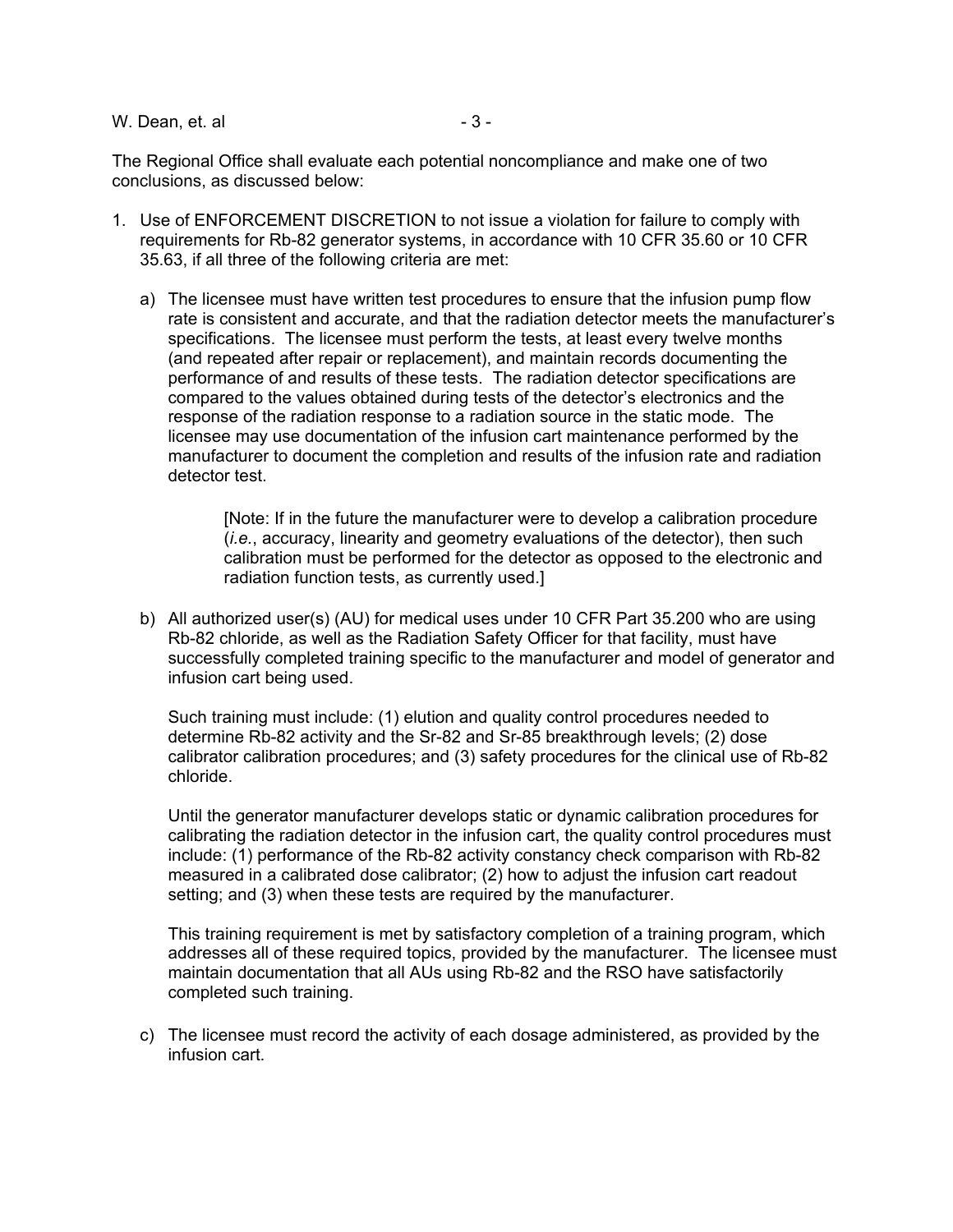### W. Dean, et. al  $-3 -$

The Regional Office shall evaluate each potential noncompliance and make one of two conclusions, as discussed below:

- 1. Use of ENFORCEMENT DISCRETION to not issue a violation for failure to comply with requirements for Rb-82 generator systems, in accordance with 10 CFR 35.60 or 10 CFR 35.63, if all three of the following criteria are met:
	- a) The licensee must have written test procedures to ensure that the infusion pump flow rate is consistent and accurate, and that the radiation detector meets the manufacturer's specifications. The licensee must perform the tests, at least every twelve months (and repeated after repair or replacement), and maintain records documenting the performance of and results of these tests. The radiation detector specifications are compared to the values obtained during tests of the detector's electronics and the response of the radiation response to a radiation source in the static mode. The licensee may use documentation of the infusion cart maintenance performed by the manufacturer to document the completion and results of the infusion rate and radiation detector test.

[Note: If in the future the manufacturer were to develop a calibration procedure (*i.e.*, accuracy, linearity and geometry evaluations of the detector), then such calibration must be performed for the detector as opposed to the electronic and radiation function tests, as currently used.]

b) All authorized user(s) (AU) for medical uses under 10 CFR Part 35.200 who are using Rb-82 chloride, as well as the Radiation Safety Officer for that facility, must have successfully completed training specific to the manufacturer and model of generator and infusion cart being used.

Such training must include: (1) elution and quality control procedures needed to determine Rb-82 activity and the Sr-82 and Sr-85 breakthrough levels; (2) dose calibrator calibration procedures; and (3) safety procedures for the clinical use of Rb-82 chloride.

Until the generator manufacturer develops static or dynamic calibration procedures for calibrating the radiation detector in the infusion cart, the quality control procedures must include: (1) performance of the Rb-82 activity constancy check comparison with Rb-82 measured in a calibrated dose calibrator; (2) how to adjust the infusion cart readout setting; and (3) when these tests are required by the manufacturer.

This training requirement is met by satisfactory completion of a training program, which addresses all of these required topics, provided by the manufacturer. The licensee must maintain documentation that all AUs using Rb-82 and the RSO have satisfactorily completed such training.

c) The licensee must record the activity of each dosage administered, as provided by the infusion cart.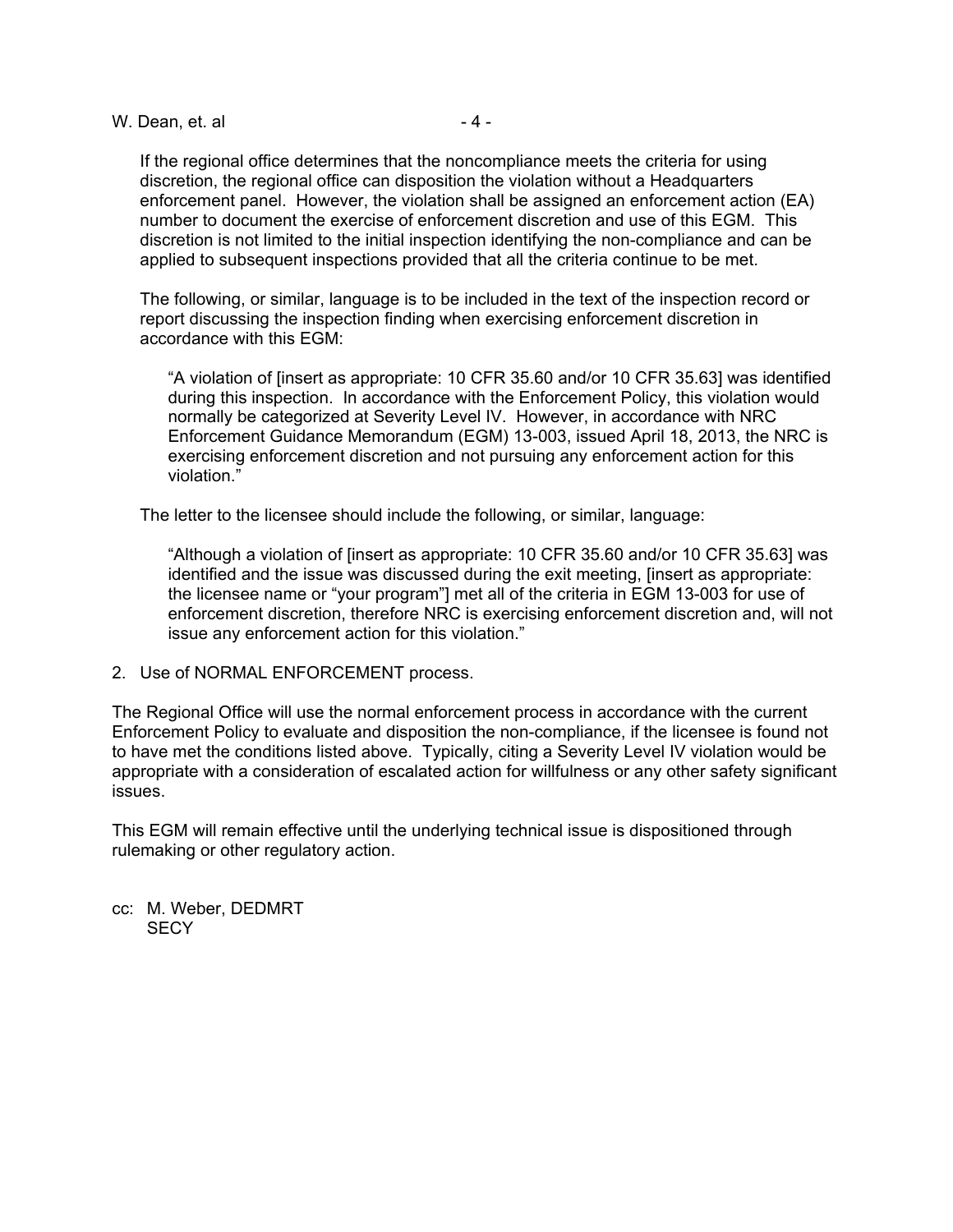W. Dean, et. al  $-4 -$ 

If the regional office determines that the noncompliance meets the criteria for using discretion, the regional office can disposition the violation without a Headquarters enforcement panel. However, the violation shall be assigned an enforcement action (EA) number to document the exercise of enforcement discretion and use of this EGM. This discretion is not limited to the initial inspection identifying the non-compliance and can be applied to subsequent inspections provided that all the criteria continue to be met.

The following, or similar, language is to be included in the text of the inspection record or report discussing the inspection finding when exercising enforcement discretion in accordance with this EGM:

"A violation of [insert as appropriate: 10 CFR 35.60 and/or 10 CFR 35.63] was identified during this inspection. In accordance with the Enforcement Policy, this violation would normally be categorized at Severity Level IV. However, in accordance with NRC Enforcement Guidance Memorandum (EGM) 13-003, issued April 18, 2013, the NRC is exercising enforcement discretion and not pursuing any enforcement action for this violation."

The letter to the licensee should include the following, or similar, language:

"Although a violation of [insert as appropriate: 10 CFR 35.60 and/or 10 CFR 35.63] was identified and the issue was discussed during the exit meeting, [insert as appropriate: the licensee name or "your program"] met all of the criteria in EGM 13-003 for use of enforcement discretion, therefore NRC is exercising enforcement discretion and, will not issue any enforcement action for this violation."

2. Use of NORMAL ENFORCEMENT process.

The Regional Office will use the normal enforcement process in accordance with the current Enforcement Policy to evaluate and disposition the non-compliance, if the licensee is found not to have met the conditions listed above. Typically, citing a Severity Level IV violation would be appropriate with a consideration of escalated action for willfulness or any other safety significant issues.

This EGM will remain effective until the underlying technical issue is dispositioned through rulemaking or other regulatory action.

cc: M. Weber, DEDMRT **SECY**